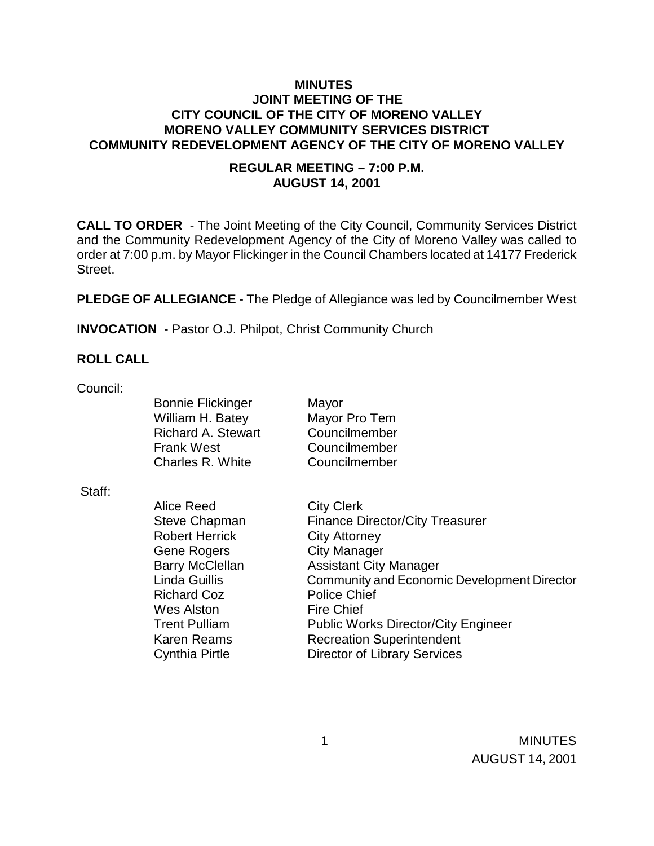## **MINUTES JOINT MEETING OF THE CITY COUNCIL OF THE CITY OF MORENO VALLEY MORENO VALLEY COMMUNITY SERVICES DISTRICT COMMUNITY REDEVELOPMENT AGENCY OF THE CITY OF MORENO VALLEY**

## **REGULAR MEETING – 7:00 P.M. AUGUST 14, 2001**

**CALL TO ORDER** - The Joint Meeting of the City Council, Community Services District and the Community Redevelopment Agency of the City of Moreno Valley was called to order at 7:00 p.m. by Mayor Flickinger in the Council Chambers located at 14177 Frederick Street.

**PLEDGE OF ALLEGIANCE** - The Pledge of Allegiance was led by Councilmember West

 **INVOCATION** - Pastor O.J. Philpot, Christ Community Church

#### **ROLL CALL**

Council:

| <b>Bonnie Flickinger</b>  | Mayor         |
|---------------------------|---------------|
| William H. Batey          | Mayor Pro Tem |
| <b>Richard A. Stewart</b> | Councilmember |
| <b>Frank West</b>         | Councilmember |
| Charles R. White          | Councilmember |

Staff:

Alice Reed City Clerk Robert Herrick City Attorney Gene Rogers City Manager Richard Coz Police Chief Wes Alston Fire Chief

Steve Chapman Finance Director/City Treasurer Barry McClellan **Assistant City Manager** Linda Guillis Community and Economic Development Director Trent Pulliam Public Works Director/City Engineer Karen Reams **Recreation Superintendent** Cynthia Pirtle Director of Library Services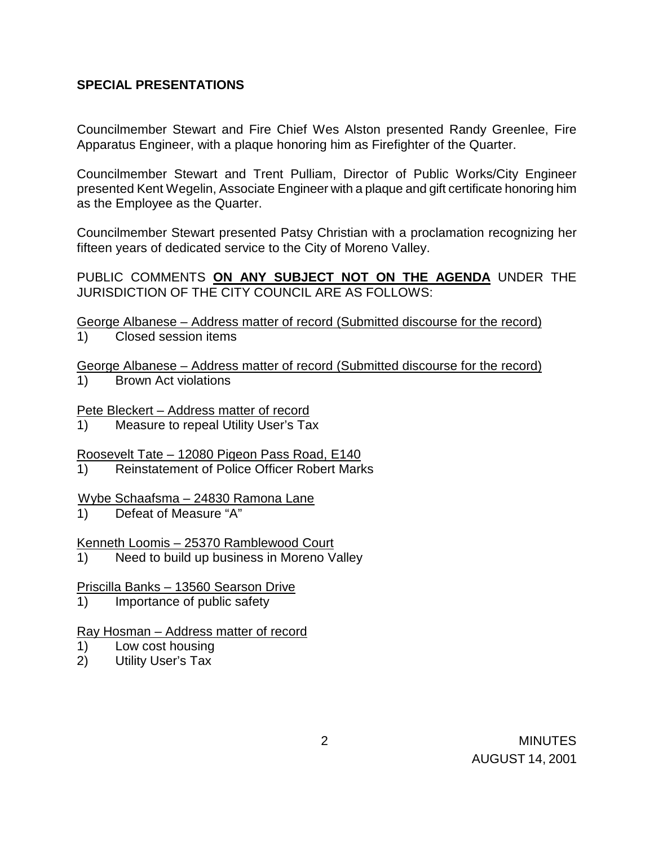## **SPECIAL PRESENTATIONS**

Councilmember Stewart and Fire Chief Wes Alston presented Randy Greenlee, Fire Apparatus Engineer, with a plaque honoring him as Firefighter of the Quarter.

Councilmember Stewart and Trent Pulliam, Director of Public Works/City Engineer presented Kent Wegelin, Associate Engineer with a plaque and gift certificate honoring him as the Employee as the Quarter.

Councilmember Stewart presented Patsy Christian with a proclamation recognizing her fifteen years of dedicated service to the City of Moreno Valley.

PUBLIC COMMENTS **ON ANY SUBJECT NOT ON THE AGENDA** UNDER THE JURISDICTION OF THE CITY COUNCIL ARE AS FOLLOWS:

George Albanese – Address matter of record (Submitted discourse for the record)

1) Closed session items

George Albanese – Address matter of record (Submitted discourse for the record)

1) Brown Act violations

Pete Bleckert – Address matter of record

Measure to repeal Utility User's Tax

Roosevelt Tate – 12080 Pigeon Pass Road, E140

1) Reinstatement of Police Officer Robert Marks

Wybe Schaafsma – 24830 Ramona Lane

1) Defeat of Measure "A"

Kenneth Loomis – 25370 Ramblewood Court

1) Need to build up business in Moreno Valley

Priscilla Banks – 13560 Searson Drive

1) Importance of public safety

### Ray Hosman – Address matter of record

- 1) Low cost housing
- 2) Utility User's Tax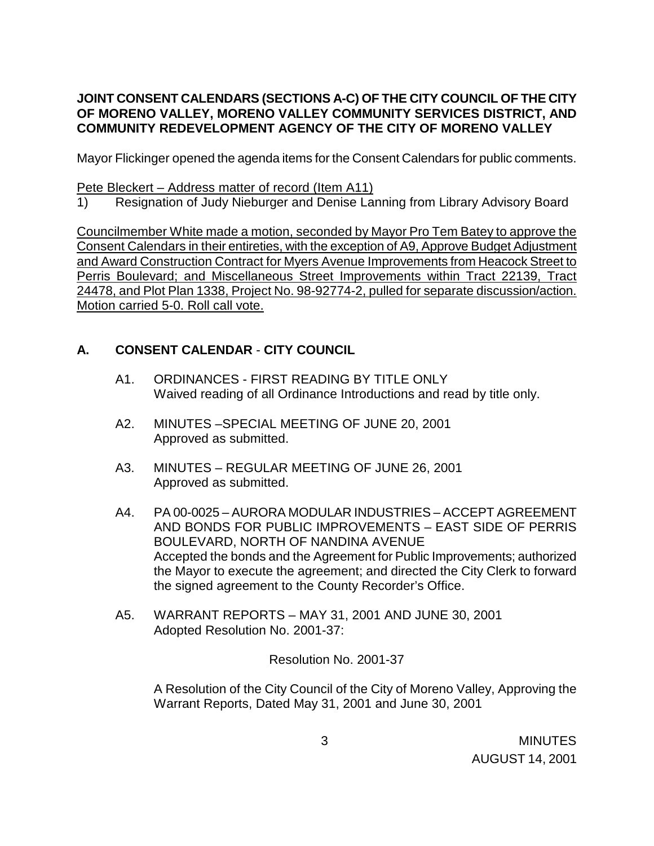# **JOINT CONSENT CALENDARS (SECTIONS A-C) OF THE CITY COUNCIL OF THE CITY OF MORENO VALLEY, MORENO VALLEY COMMUNITY SERVICES DISTRICT, AND COMMUNITY REDEVELOPMENT AGENCY OF THE CITY OF MORENO VALLEY**

Mayor Flickinger opened the agenda items for the Consent Calendars for public comments.

### Pete Bleckert – Address matter of record (Item A11)

1) Resignation of Judy Nieburger and Denise Lanning from Library Advisory Board

Councilmember White made a motion, seconded by Mayor Pro Tem Batey to approve the Consent Calendars in their entireties, with the exception of A9, Approve Budget Adjustment and Award Construction Contract for Myers Avenue Improvements from Heacock Street to Perris Boulevard; and Miscellaneous Street Improvements within Tract 22139, Tract 24478, and Plot Plan 1338, Project No. 98-92774-2, pulled for separate discussion/action. Motion carried 5-0. Roll call vote.

# **A. CONSENT CALENDAR** - **CITY COUNCIL**

- A1. ORDINANCES FIRST READING BY TITLE ONLY Waived reading of all Ordinance Introductions and read by title only.
- A2. MINUTES –SPECIAL MEETING OF JUNE 20, 2001 Approved as submitted.
- A3. MINUTES REGULAR MEETING OF JUNE 26, 2001 Approved as submitted.
- A4. PA 00-0025 AURORA MODULAR INDUSTRIES ACCEPT AGREEMENT AND BONDS FOR PUBLIC IMPROVEMENTS – EAST SIDE OF PERRIS BOULEVARD, NORTH OF NANDINA AVENUE Accepted the bonds and the Agreement for Public Improvements; authorized the Mayor to execute the agreement; and directed the City Clerk to forward the signed agreement to the County Recorder's Office.
- A5. WARRANT REPORTS MAY 31, 2001 AND JUNE 30, 2001 Adopted Resolution No. 2001-37:

Resolution No. 2001-37

 A Resolution of the City Council of the City of Moreno Valley, Approving the Warrant Reports, Dated May 31, 2001 and June 30, 2001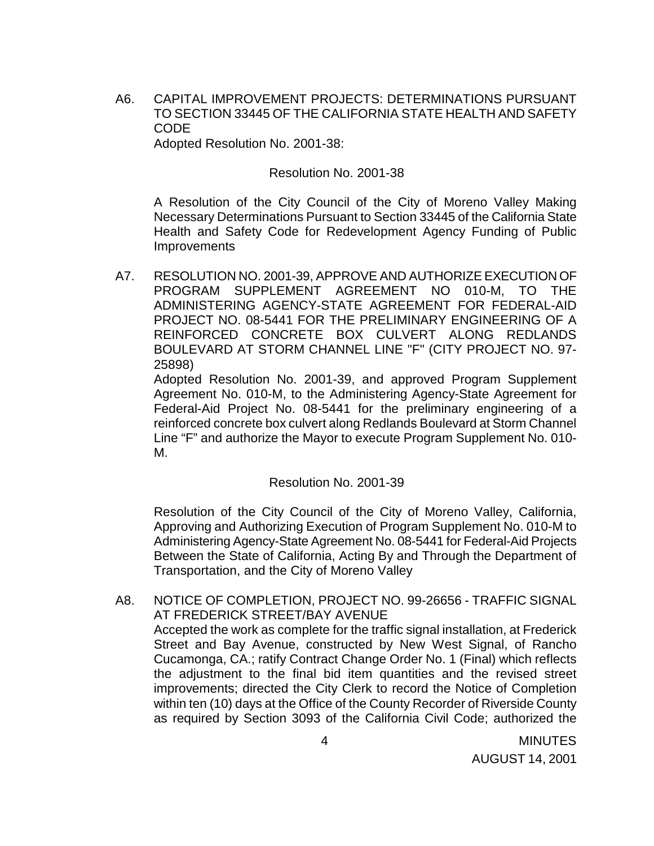A6. CAPITAL IMPROVEMENT PROJECTS: DETERMINATIONS PURSUANT TO SECTION 33445 OF THE CALIFORNIA STATE HEALTH AND SAFETY CODE

Adopted Resolution No. 2001-38:

#### Resolution No. 2001-38

 A Resolution of the City Council of the City of Moreno Valley Making Necessary Determinations Pursuant to Section 33445 of the California State Health and Safety Code for Redevelopment Agency Funding of Public Improvements

A7. RESOLUTION NO. 2001-39, APPROVE AND AUTHORIZE EXECUTION OF PROGRAM SUPPLEMENT AGREEMENT NO 010-M, TO THE ADMINISTERING AGENCY-STATE AGREEMENT FOR FEDERAL-AID PROJECT NO. 08-5441 FOR THE PRELIMINARY ENGINEERING OF A REINFORCED CONCRETE BOX CULVERT ALONG REDLANDS BOULEVARD AT STORM CHANNEL LINE "F" (CITY PROJECT NO. 97- 25898)

 Adopted Resolution No. 2001-39, and approved Program Supplement Agreement No. 010-M, to the Administering Agency-State Agreement for Federal-Aid Project No. 08-5441 for the preliminary engineering of a reinforced concrete box culvert along Redlands Boulevard at Storm Channel Line "F" and authorize the Mayor to execute Program Supplement No. 010- M.

Resolution No. 2001-39

Resolution of the City Council of the City of Moreno Valley, California, Approving and Authorizing Execution of Program Supplement No. 010-M to Administering Agency-State Agreement No. 08-5441 for Federal-Aid Projects Between the State of California, Acting By and Through the Department of Transportation, and the City of Moreno Valley

A8. NOTICE OF COMPLETION, PROJECT NO. 99-26656 - TRAFFIC SIGNAL AT FREDERICK STREET/BAY AVENUE Accepted the work as complete for the traffic signal installation, at Frederick Street and Bay Avenue, constructed by New West Signal, of Rancho Cucamonga, CA.; ratify Contract Change Order No. 1 (Final) which reflects the adjustment to the final bid item quantities and the revised street improvements; directed the City Clerk to record the Notice of Completion within ten (10) days at the Office of the County Recorder of Riverside County as required by Section 3093 of the California Civil Code; authorized the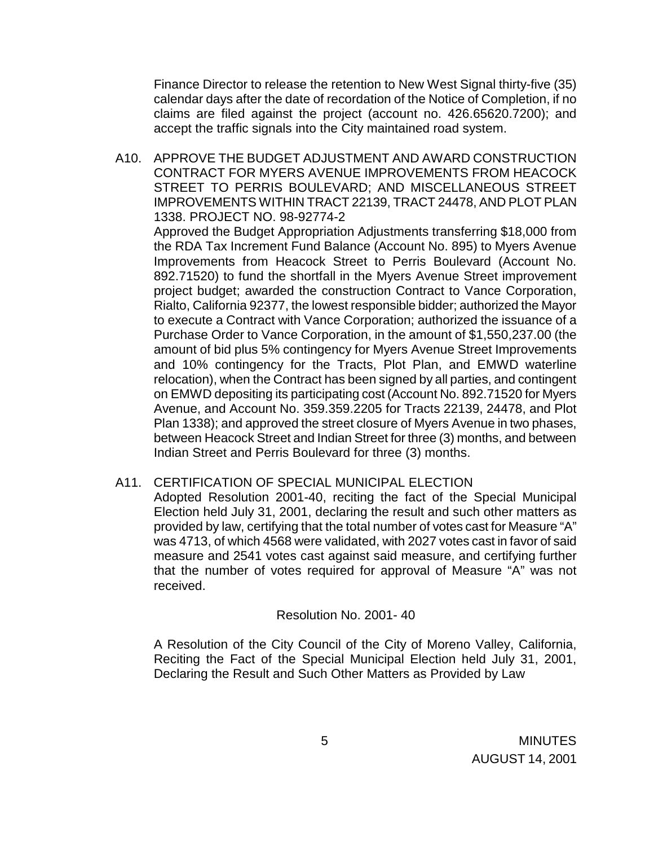Finance Director to release the retention to New West Signal thirty-five (35) calendar days after the date of recordation of the Notice of Completion, if no claims are filed against the project (account no. 426.65620.7200); and accept the traffic signals into the City maintained road system.

A10. APPROVE THE BUDGET ADJUSTMENT AND AWARD CONSTRUCTION CONTRACT FOR MYERS AVENUE IMPROVEMENTS FROM HEACOCK STREET TO PERRIS BOULEVARD; AND MISCELLANEOUS STREET IMPROVEMENTS WITHIN TRACT 22139, TRACT 24478, AND PLOT PLAN 1338. PROJECT NO. 98-92774-2

Approved the Budget Appropriation Adjustments transferring \$18,000 from the RDA Tax Increment Fund Balance (Account No. 895) to Myers Avenue Improvements from Heacock Street to Perris Boulevard (Account No. 892.71520) to fund the shortfall in the Myers Avenue Street improvement project budget; awarded the construction Contract to Vance Corporation, Rialto, California 92377, the lowest responsible bidder; authorized the Mayor to execute a Contract with Vance Corporation; authorized the issuance of a Purchase Order to Vance Corporation, in the amount of \$1,550,237.00 (the amount of bid plus 5% contingency for Myers Avenue Street Improvements and 10% contingency for the Tracts, Plot Plan, and EMWD waterline relocation), when the Contract has been signed by all parties, and contingent on EMWD depositing its participating cost (Account No. 892.71520 for Myers Avenue, and Account No. 359.359.2205 for Tracts 22139, 24478, and Plot Plan 1338); and approved the street closure of Myers Avenue in two phases, between Heacock Street and Indian Street for three (3) months, and between Indian Street and Perris Boulevard for three (3) months.

### A11. CERTIFICATION OF SPECIAL MUNICIPAL ELECTION

 Adopted Resolution 2001-40, reciting the fact of the Special Municipal Election held July 31, 2001, declaring the result and such other matters as provided by law, certifying that the total number of votes cast for Measure "A" was 4713, of which 4568 were validated, with 2027 votes cast in favor of said measure and 2541 votes cast against said measure, and certifying further that the number of votes required for approval of Measure "A" was not received.

### Resolution No. 2001- 40

 A Resolution of the City Council of the City of Moreno Valley, California, Reciting the Fact of the Special Municipal Election held July 31, 2001, Declaring the Result and Such Other Matters as Provided by Law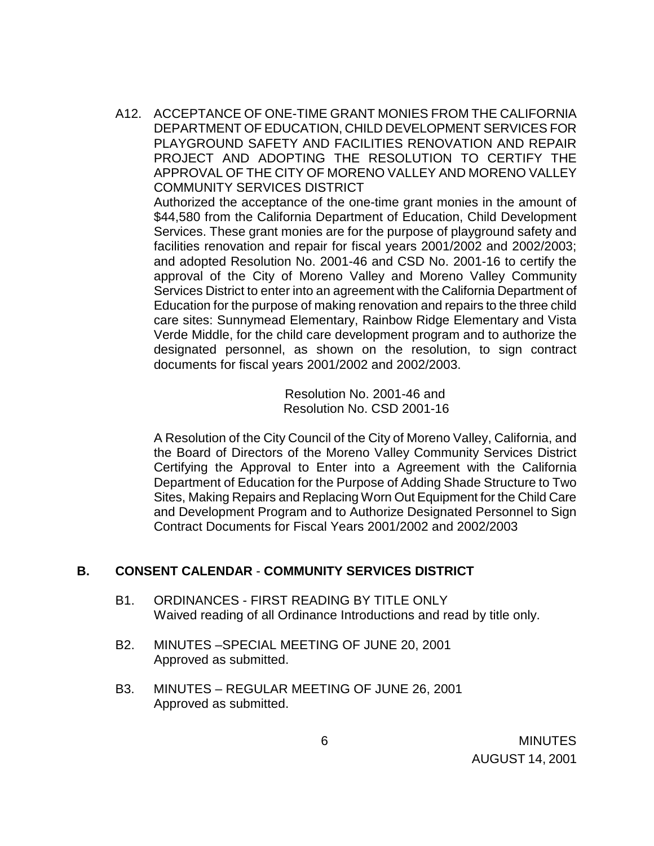A12. ACCEPTANCE OF ONE-TIME GRANT MONIES FROM THE CALIFORNIA DEPARTMENT OF EDUCATION, CHILD DEVELOPMENT SERVICES FOR PLAYGROUND SAFETY AND FACILITIES RENOVATION AND REPAIR PROJECT AND ADOPTING THE RESOLUTION TO CERTIFY THE APPROVAL OF THE CITY OF MORENO VALLEY AND MORENO VALLEY COMMUNITY SERVICES DISTRICT

Authorized the acceptance of the one-time grant monies in the amount of \$44,580 from the California Department of Education, Child Development Services. These grant monies are for the purpose of playground safety and facilities renovation and repair for fiscal years 2001/2002 and 2002/2003; and adopted Resolution No. 2001-46 and CSD No. 2001-16 to certify the approval of the City of Moreno Valley and Moreno Valley Community Services District to enter into an agreement with the California Department of Education for the purpose of making renovation and repairs to the three child care sites: Sunnymead Elementary, Rainbow Ridge Elementary and Vista Verde Middle, for the child care development program and to authorize the designated personnel, as shown on the resolution, to sign contract documents for fiscal years 2001/2002 and 2002/2003.

> Resolution No. 2001-46 and Resolution No. CSD 2001-16

A Resolution of the City Council of the City of Moreno Valley, California, and the Board of Directors of the Moreno Valley Community Services District Certifying the Approval to Enter into a Agreement with the California Department of Education for the Purpose of Adding Shade Structure to Two Sites, Making Repairs and Replacing Worn Out Equipment for the Child Care and Development Program and to Authorize Designated Personnel to Sign Contract Documents for Fiscal Years 2001/2002 and 2002/2003

## **B. CONSENT CALENDAR** - **COMMUNITY SERVICES DISTRICT**

- B1. ORDINANCES FIRST READING BY TITLE ONLY Waived reading of all Ordinance Introductions and read by title only.
- B2. MINUTES –SPECIAL MEETING OF JUNE 20, 2001 Approved as submitted.
- B3. MINUTES REGULAR MEETING OF JUNE 26, 2001 Approved as submitted.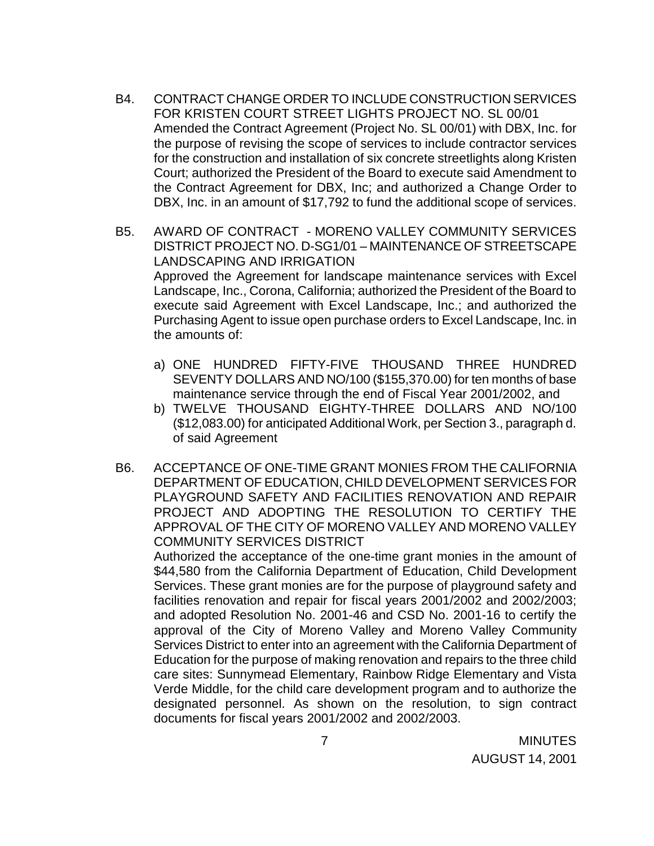- B4. CONTRACT CHANGE ORDER TO INCLUDE CONSTRUCTION SERVICES FOR KRISTEN COURT STREET LIGHTS PROJECT NO. SL 00/01 Amended the Contract Agreement (Project No. SL 00/01) with DBX, Inc. for the purpose of revising the scope of services to include contractor services for the construction and installation of six concrete streetlights along Kristen Court; authorized the President of the Board to execute said Amendment to the Contract Agreement for DBX, Inc; and authorized a Change Order to DBX, Inc. in an amount of \$17,792 to fund the additional scope of services.
- B5. AWARD OF CONTRACT MORENO VALLEY COMMUNITY SERVICES DISTRICT PROJECT NO. D-SG1/01 – MAINTENANCE OF STREETSCAPE LANDSCAPING AND IRRIGATION Approved the Agreement for landscape maintenance services with Excel Landscape, Inc., Corona, California; authorized the President of the Board to execute said Agreement with Excel Landscape, Inc.; and authorized the Purchasing Agent to issue open purchase orders to Excel Landscape, Inc. in the amounts of:
	- a) ONE HUNDRED FIFTY-FIVE THOUSAND THREE HUNDRED SEVENTY DOLLARS AND NO/100 (\$155,370.00) for ten months of base maintenance service through the end of Fiscal Year 2001/2002, and
	- b) TWELVE THOUSAND EIGHTY-THREE DOLLARS AND NO/100 (\$12,083.00) for anticipated Additional Work, per Section 3., paragraph d. of said Agreement
- B6. ACCEPTANCE OF ONE-TIME GRANT MONIES FROM THE CALIFORNIA DEPARTMENT OF EDUCATION, CHILD DEVELOPMENT SERVICES FOR PLAYGROUND SAFETY AND FACILITIES RENOVATION AND REPAIR PROJECT AND ADOPTING THE RESOLUTION TO CERTIFY THE APPROVAL OF THE CITY OF MORENO VALLEY AND MORENO VALLEY COMMUNITY SERVICES DISTRICT

Authorized the acceptance of the one-time grant monies in the amount of \$44,580 from the California Department of Education, Child Development Services. These grant monies are for the purpose of playground safety and facilities renovation and repair for fiscal years 2001/2002 and 2002/2003; and adopted Resolution No. 2001-46 and CSD No. 2001-16 to certify the approval of the City of Moreno Valley and Moreno Valley Community Services District to enter into an agreement with the California Department of Education for the purpose of making renovation and repairs to the three child care sites: Sunnymead Elementary, Rainbow Ridge Elementary and Vista Verde Middle, for the child care development program and to authorize the designated personnel. As shown on the resolution, to sign contract documents for fiscal years 2001/2002 and 2002/2003.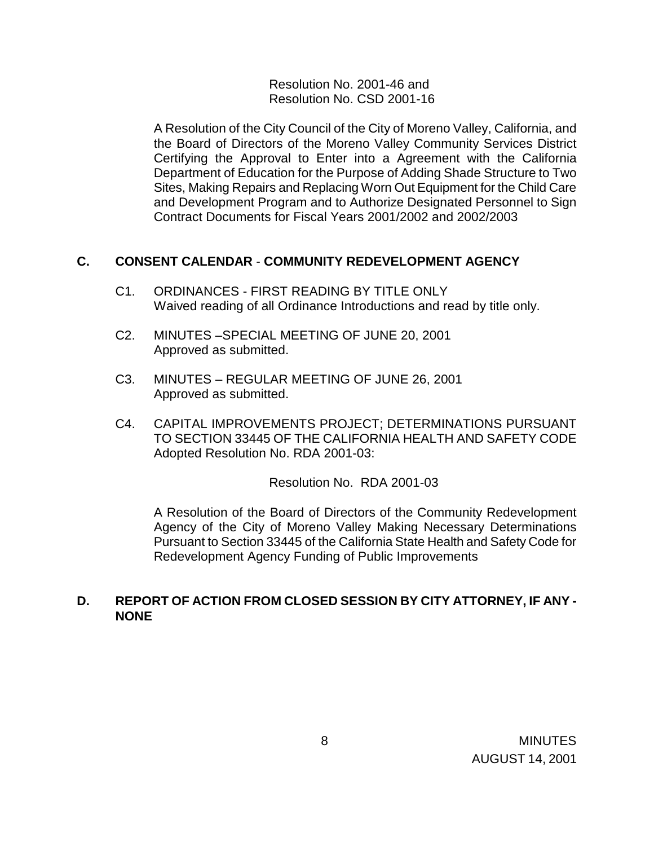Resolution No. 2001-46 and Resolution No. CSD 2001-16

A Resolution of the City Council of the City of Moreno Valley, California, and the Board of Directors of the Moreno Valley Community Services District Certifying the Approval to Enter into a Agreement with the California Department of Education for the Purpose of Adding Shade Structure to Two Sites, Making Repairs and Replacing Worn Out Equipment for the Child Care and Development Program and to Authorize Designated Personnel to Sign Contract Documents for Fiscal Years 2001/2002 and 2002/2003

### **C. CONSENT CALENDAR** - **COMMUNITY REDEVELOPMENT AGENCY**

- C1. ORDINANCES FIRST READING BY TITLE ONLY Waived reading of all Ordinance Introductions and read by title only.
- C2. MINUTES –SPECIAL MEETING OF JUNE 20, 2001 Approved as submitted.
- C3. MINUTES REGULAR MEETING OF JUNE 26, 2001 Approved as submitted.
- C4. CAPITAL IMPROVEMENTS PROJECT; DETERMINATIONS PURSUANT TO SECTION 33445 OF THE CALIFORNIA HEALTH AND SAFETY CODE Adopted Resolution No. RDA 2001-03:

Resolution No. RDA 2001-03

A Resolution of the Board of Directors of the Community Redevelopment Agency of the City of Moreno Valley Making Necessary Determinations Pursuant to Section 33445 of the California State Health and Safety Code for Redevelopment Agency Funding of Public Improvements

## **D. REPORT OF ACTION FROM CLOSED SESSION BY CITY ATTORNEY, IF ANY - NONE**

8 MINUTES AUGUST 14, 2001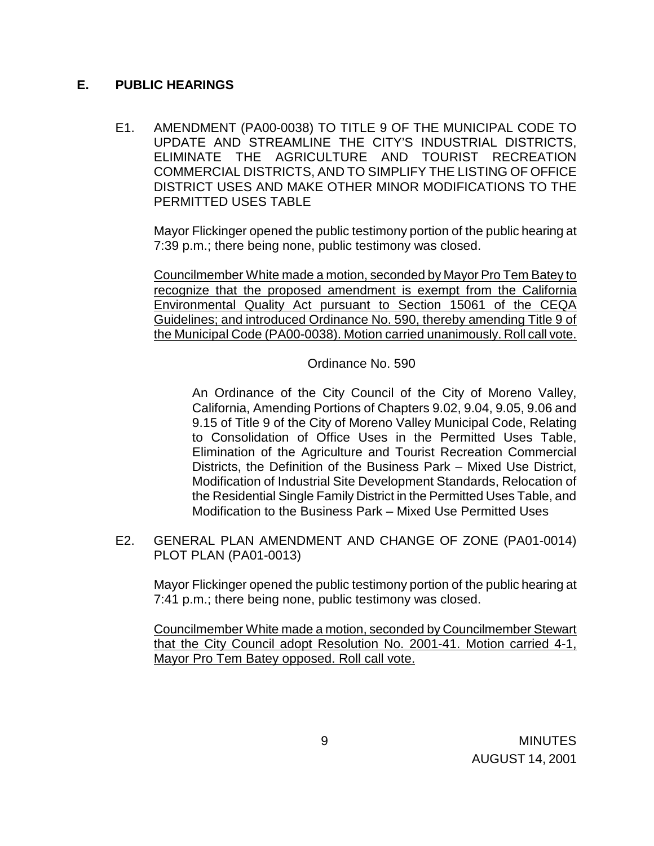## **E. PUBLIC HEARINGS**

E1. AMENDMENT (PA00-0038) TO TITLE 9 OF THE MUNICIPAL CODE TO UPDATE AND STREAMLINE THE CITY'S INDUSTRIAL DISTRICTS, ELIMINATE THE AGRICULTURE AND TOURIST RECREATION COMMERCIAL DISTRICTS, AND TO SIMPLIFY THE LISTING OF OFFICE DISTRICT USES AND MAKE OTHER MINOR MODIFICATIONS TO THE PERMITTED USES TABLE

 Mayor Flickinger opened the public testimony portion of the public hearing at 7:39 p.m.; there being none, public testimony was closed.

 Councilmember White made a motion, seconded by Mayor Pro Tem Batey to recognize that the proposed amendment is exempt from the California Environmental Quality Act pursuant to Section 15061 of the CEQA Guidelines; and introduced Ordinance No. 590, thereby amending Title 9 of the Municipal Code (PA00-0038). Motion carried unanimously. Roll call vote.

Ordinance No. 590

An Ordinance of the City Council of the City of Moreno Valley, California, Amending Portions of Chapters 9.02, 9.04, 9.05, 9.06 and 9.15 of Title 9 of the City of Moreno Valley Municipal Code, Relating to Consolidation of Office Uses in the Permitted Uses Table, Elimination of the Agriculture and Tourist Recreation Commercial Districts, the Definition of the Business Park – Mixed Use District, Modification of Industrial Site Development Standards, Relocation of the Residential Single Family District in the Permitted Uses Table, and Modification to the Business Park – Mixed Use Permitted Uses

 E2. GENERAL PLAN AMENDMENT AND CHANGE OF ZONE (PA01-0014) PLOT PLAN (PA01-0013)

Mayor Flickinger opened the public testimony portion of the public hearing at 7:41 p.m.; there being none, public testimony was closed.

 Councilmember White made a motion, seconded by Councilmember Stewart that the City Council adopt Resolution No. 2001-41. Motion carried 4-1, Mayor Pro Tem Batey opposed. Roll call vote.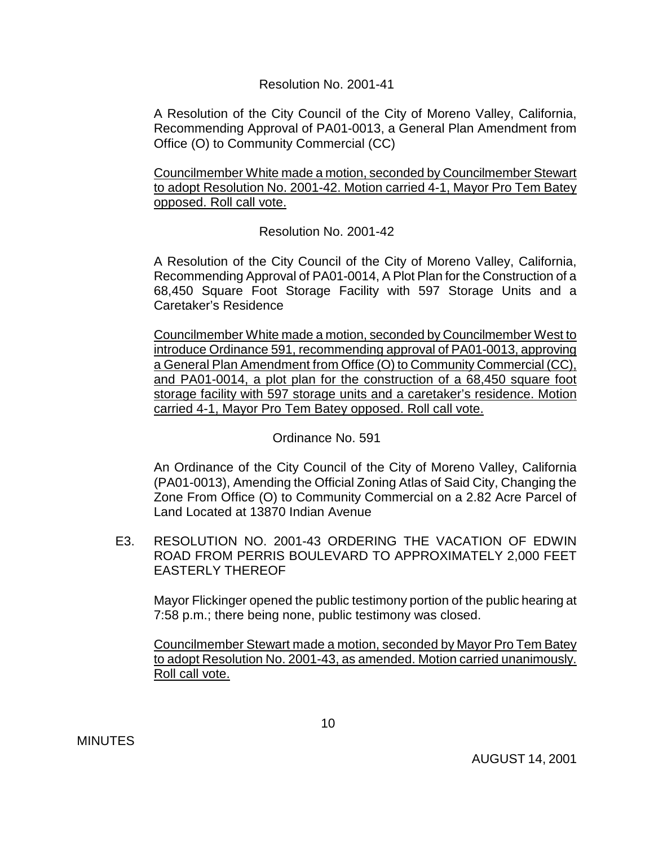#### Resolution No. 2001-41

 A Resolution of the City Council of the City of Moreno Valley, California, Recommending Approval of PA01-0013, a General Plan Amendment from Office (O) to Community Commercial (CC)

 Councilmember White made a motion, seconded by Councilmember Stewart to adopt Resolution No. 2001-42. Motion carried 4-1, Mayor Pro Tem Batey opposed. Roll call vote.

### Resolution No. 2001-42

 A Resolution of the City Council of the City of Moreno Valley, California, Recommending Approval of PA01-0014, A Plot Plan for the Construction of a 68,450 Square Foot Storage Facility with 597 Storage Units and a Caretaker's Residence

 Councilmember White made a motion, seconded by Councilmember West to introduce Ordinance 591, recommending approval of PA01-0013, approving a General Plan Amendment from Office (O) to Community Commercial (CC), and PA01-0014, a plot plan for the construction of a 68,450 square foot storage facility with 597 storage units and a caretaker's residence. Motion carried 4-1, Mayor Pro Tem Batey opposed. Roll call vote.

### Ordinance No. 591

 An Ordinance of the City Council of the City of Moreno Valley, California (PA01-0013), Amending the Official Zoning Atlas of Said City, Changing the Zone From Office (O) to Community Commercial on a 2.82 Acre Parcel of Land Located at 13870 Indian Avenue

 E3. RESOLUTION NO. 2001-43 ORDERING THE VACATION OF EDWIN ROAD FROM PERRIS BOULEVARD TO APPROXIMATELY 2,000 FEET EASTERLY THEREOF

Mayor Flickinger opened the public testimony portion of the public hearing at 7:58 p.m.; there being none, public testimony was closed.

 Councilmember Stewart made a motion, seconded by Mayor Pro Tem Batey to adopt Resolution No. 2001-43, as amended. Motion carried unanimously. Roll call vote.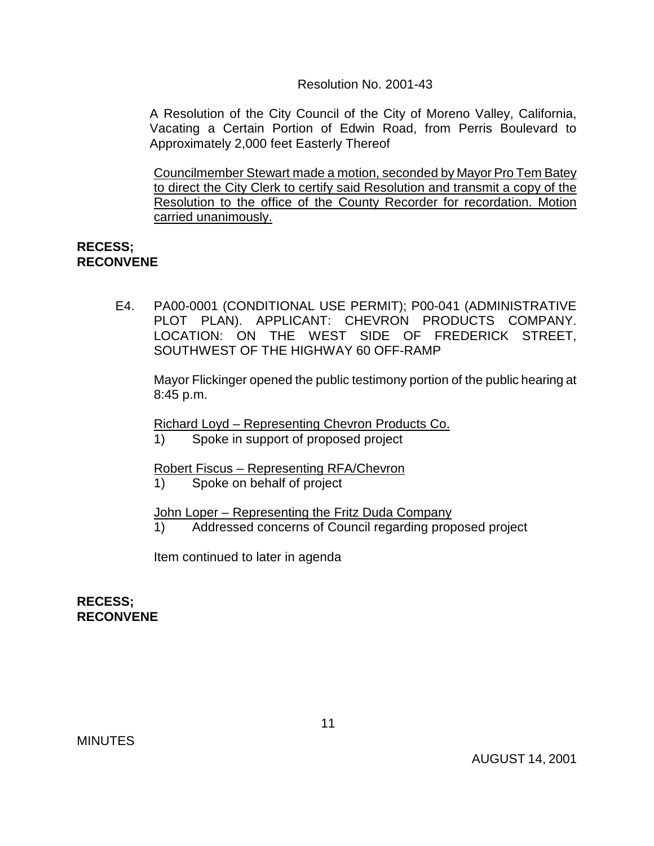Resolution No. 2001-43

A Resolution of the City Council of the City of Moreno Valley, California, Vacating a Certain Portion of Edwin Road, from Perris Boulevard to Approximately 2,000 feet Easterly Thereof

 Councilmember Stewart made a motion, seconded by Mayor Pro Tem Batey to direct the City Clerk to certify said Resolution and transmit a copy of the Resolution to the office of the County Recorder for recordation. Motion carried unanimously.

#### **RECESS; RECONVENE**

 E4. PA00-0001 (CONDITIONAL USE PERMIT); P00-041 (ADMINISTRATIVE PLOT PLAN). APPLICANT: CHEVRON PRODUCTS COMPANY. LOCATION: ON THE WEST SIDE OF FREDERICK STREET, SOUTHWEST OF THE HIGHWAY 60 OFF-RAMP

 Mayor Flickinger opened the public testimony portion of the public hearing at 8:45 p.m.

Richard Loyd – Representing Chevron Products Co.

1) Spoke in support of proposed project

Robert Fiscus – Representing RFA/Chevron

1) Spoke on behalf of project

John Loper – Representing the Fritz Duda Company

1) Addressed concerns of Council regarding proposed project

Item continued to later in agenda

**RECESS; RECONVENE**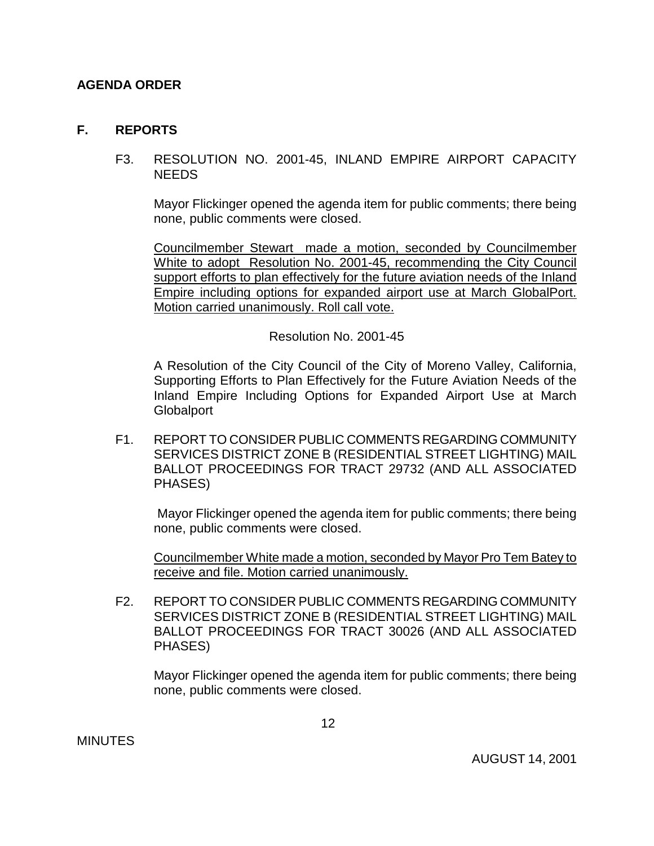## **AGENDA ORDER**

#### **F. REPORTS**

#### F3. RESOLUTION NO. 2001-45, INLAND EMPIRE AIRPORT CAPACITY **NEEDS**

 Mayor Flickinger opened the agenda item for public comments; there being none, public comments were closed.

 Councilmember Stewart made a motion, seconded by Councilmember White to adopt Resolution No. 2001-45, recommending the City Council support efforts to plan effectively for the future aviation needs of the Inland Empire including options for expanded airport use at March GlobalPort. Motion carried unanimously. Roll call vote.

Resolution No. 2001-45

 A Resolution of the City Council of the City of Moreno Valley, California, Supporting Efforts to Plan Effectively for the Future Aviation Needs of the Inland Empire Including Options for Expanded Airport Use at March **Globalport** 

F1. REPORT TO CONSIDER PUBLIC COMMENTS REGARDING COMMUNITY SERVICES DISTRICT ZONE B (RESIDENTIAL STREET LIGHTING) MAIL BALLOT PROCEEDINGS FOR TRACT 29732 (AND ALL ASSOCIATED PHASES)

 Mayor Flickinger opened the agenda item for public comments; there being none, public comments were closed.

 Councilmember White made a motion, seconded by Mayor Pro Tem Batey to receive and file. Motion carried unanimously.

 F2. REPORT TO CONSIDER PUBLIC COMMENTS REGARDING COMMUNITY SERVICES DISTRICT ZONE B (RESIDENTIAL STREET LIGHTING) MAIL BALLOT PROCEEDINGS FOR TRACT 30026 (AND ALL ASSOCIATED PHASES)

 Mayor Flickinger opened the agenda item for public comments; there being none, public comments were closed.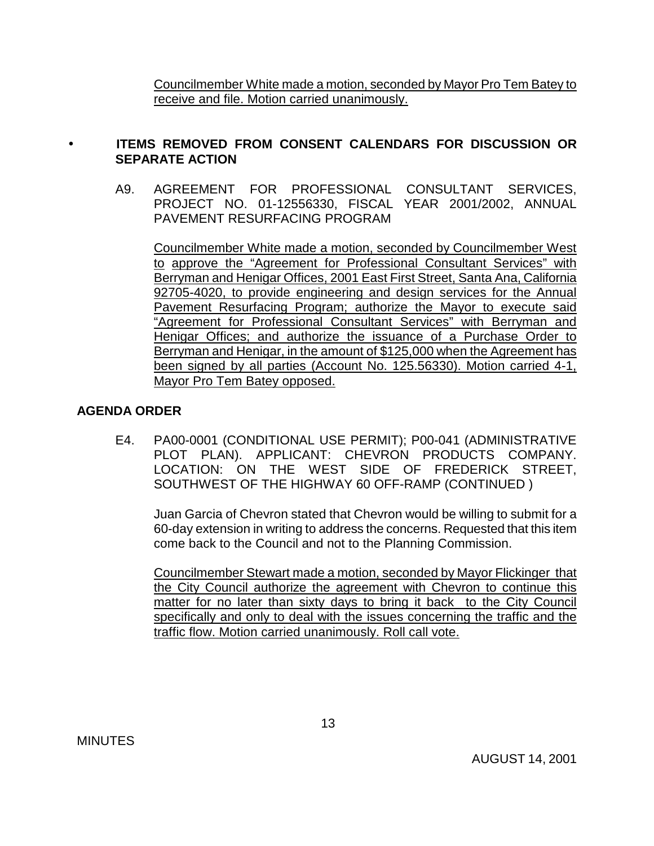Councilmember White made a motion, seconded by Mayor Pro Tem Batey to receive and file. Motion carried unanimously.

# • **ITEMS REMOVED FROM CONSENT CALENDARS FOR DISCUSSION OR SEPARATE ACTION**

A9. AGREEMENT FOR PROFESSIONAL CONSULTANT SERVICES, PROJECT NO. 01-12556330, FISCAL YEAR 2001/2002, ANNUAL PAVEMENT RESURFACING PROGRAM

 Councilmember White made a motion, seconded by Councilmember West to approve the "Agreement for Professional Consultant Services" with Berryman and Henigar Offices, 2001 East First Street, Santa Ana, California 92705-4020, to provide engineering and design services for the Annual Pavement Resurfacing Program; authorize the Mayor to execute said "Agreement for Professional Consultant Services" with Berryman and Henigar Offices; and authorize the issuance of a Purchase Order to Berryman and Henigar, in the amount of \$125,000 when the Agreement has been signed by all parties (Account No. 125.56330). Motion carried 4-1, Mayor Pro Tem Batey opposed.

# **AGENDA ORDER**

 E4. PA00-0001 (CONDITIONAL USE PERMIT); P00-041 (ADMINISTRATIVE PLOT PLAN). APPLICANT: CHEVRON PRODUCTS COMPANY. LOCATION: ON THE WEST SIDE OF FREDERICK STREET, SOUTHWEST OF THE HIGHWAY 60 OFF-RAMP (CONTINUED )

 Juan Garcia of Chevron stated that Chevron would be willing to submit for a 60-day extension in writing to address the concerns. Requested that this item come back to the Council and not to the Planning Commission.

 Councilmember Stewart made a motion, seconded by Mayor Flickinger that the City Council authorize the agreement with Chevron to continue this matter for no later than sixty days to bring it back to the City Council specifically and only to deal with the issues concerning the traffic and the traffic flow. Motion carried unanimously. Roll call vote.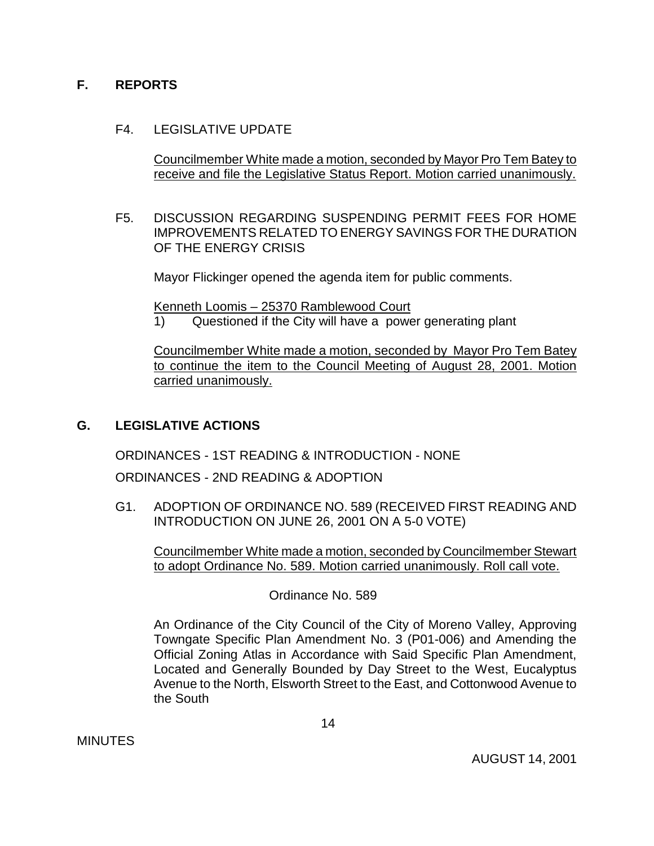## **F. REPORTS**

## F4. LEGISLATIVE UPDATE

 Councilmember White made a motion, seconded by Mayor Pro Tem Batey to receive and file the Legislative Status Report. Motion carried unanimously.

F5. DISCUSSION REGARDING SUSPENDING PERMIT FEES FOR HOME IMPROVEMENTS RELATED TO ENERGY SAVINGS FOR THE DURATION OF THE ENERGY CRISIS

Mayor Flickinger opened the agenda item for public comments.

Kenneth Loomis – 25370 Ramblewood Court

1) Questioned if the City will have a power generating plant

 Councilmember White made a motion, seconded by Mayor Pro Tem Batey to continue the item to the Council Meeting of August 28, 2001. Motion carried unanimously.

# **G. LEGISLATIVE ACTIONS**

ORDINANCES - 1ST READING & INTRODUCTION - NONE

ORDINANCES - 2ND READING & ADOPTION

 G1. ADOPTION OF ORDINANCE NO. 589 (RECEIVED FIRST READING AND INTRODUCTION ON JUNE 26, 2001 ON A 5-0 VOTE)

 Councilmember White made a motion, seconded by Councilmember Stewart to adopt Ordinance No. 589. Motion carried unanimously. Roll call vote.

Ordinance No. 589

 An Ordinance of the City Council of the City of Moreno Valley, Approving Towngate Specific Plan Amendment No. 3 (P01-006) and Amending the Official Zoning Atlas in Accordance with Said Specific Plan Amendment, Located and Generally Bounded by Day Street to the West, Eucalyptus Avenue to the North, Elsworth Street to the East, and Cottonwood Avenue to the South

**MINUTES** 

AUGUST 14, 2001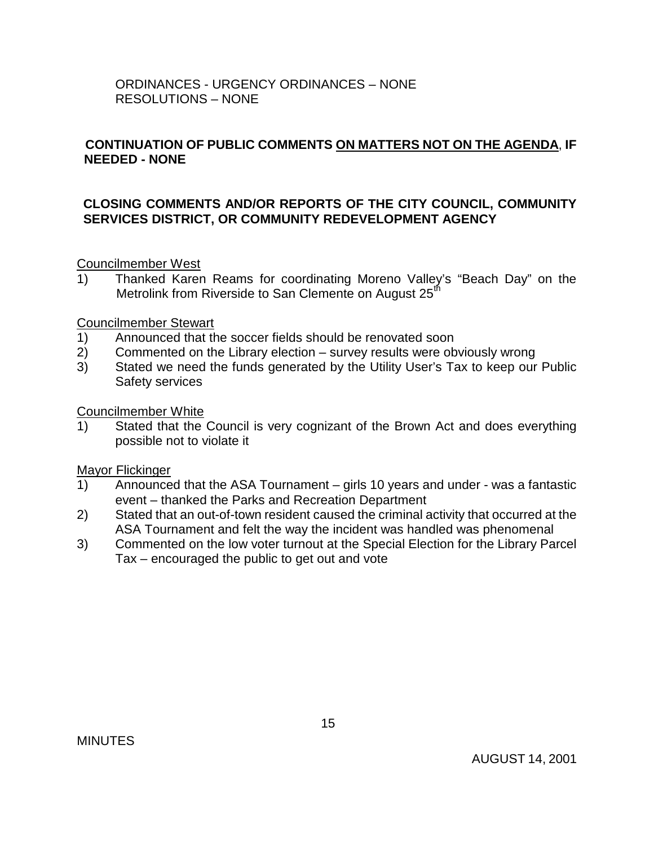## ORDINANCES - URGENCY ORDINANCES – NONE RESOLUTIONS – NONE

## **CONTINUATION OF PUBLIC COMMENTS ON MATTERS NOT ON THE AGENDA**, **IF NEEDED - NONE**

## **CLOSING COMMENTS AND/OR REPORTS OF THE CITY COUNCIL, COMMUNITY SERVICES DISTRICT, OR COMMUNITY REDEVELOPMENT AGENCY**

Councilmember West

1) Thanked Karen Reams for coordinating Moreno Valley's "Beach Day" on the Metrolink from Riverside to San Clemente on August 25<sup>th</sup>

Councilmember Stewart

- 1) Announced that the soccer fields should be renovated soon
- 2) Commented on the Library election survey results were obviously wrong
- 3) Stated we need the funds generated by the Utility User's Tax to keep our Public Safety services

Councilmember White

1) Stated that the Council is very cognizant of the Brown Act and does everything possible not to violate it

Mayor Flickinger

- 1) Announced that the ASA Tournament girls 10 years and under was a fantastic event – thanked the Parks and Recreation Department
- 2) Stated that an out-of-town resident caused the criminal activity that occurred at the ASA Tournament and felt the way the incident was handled was phenomenal
- 3) Commented on the low voter turnout at the Special Election for the Library Parcel Tax – encouraged the public to get out and vote